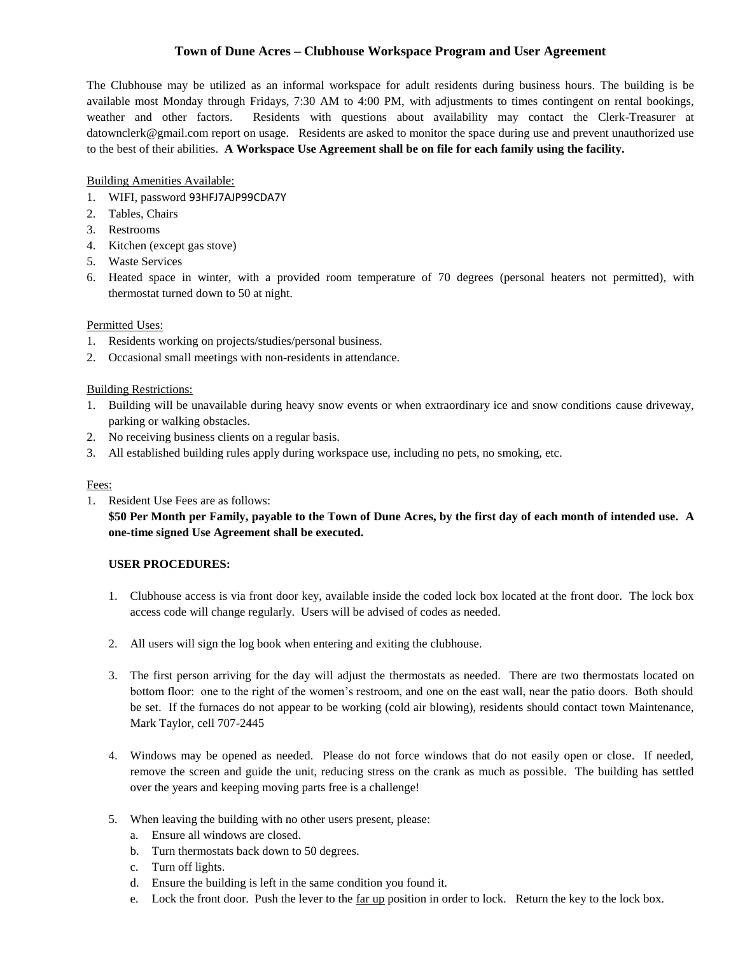# **Town of Dune Acres – Clubhouse Workspace Program and User Agreement**

The Clubhouse may be utilized as an informal workspace for adult residents during business hours. The building is be available most Monday through Fridays, 7:30 AM to 4:00 PM, with adjustments to times contingent on rental bookings, weather and other factors. Residents with questions about availability may contact the Clerk-Treasurer at datownclerk@gmail.com report on usage. Residents are asked to monitor the space during use and prevent unauthorized use to the best of their abilities. **A Workspace Use Agreement shall be on file for each family using the facility.** 

Building Amenities Available:

- 1. WIFI, password 93HFJ7AJP99CDA7Y
- 2. Tables, Chairs
- 3. Restrooms
- 4. Kitchen (except gas stove)
- 5. Waste Services
- 6. Heated space in winter, with a provided room temperature of 70 degrees (personal heaters not permitted), with thermostat turned down to 50 at night.

#### Permitted Uses:

- 1. Residents working on projects/studies/personal business.
- 2. Occasional small meetings with non-residents in attendance.

#### Building Restrictions:

- 1. Building will be unavailable during heavy snow events or when extraordinary ice and snow conditions cause driveway, parking or walking obstacles.
- 2. No receiving business clients on a regular basis.
- 3. All established building rules apply during workspace use, including no pets, no smoking, etc.

### Fees:

1. Resident Use Fees are as follows:

**\$50 Per Month per Family, payable to the Town of Dune Acres, by the first day of each month of intended use. A one-time signed Use Agreement shall be executed.** 

## **USER PROCEDURES:**

- 1. Clubhouse access is via front door key, available inside the coded lock box located at the front door. The lock box access code will change regularly. Users will be advised of codes as needed.
- 2. All users will sign the log book when entering and exiting the clubhouse.
- 3. The first person arriving for the day will adjust the thermostats as needed. There are two thermostats located on bottom floor: one to the right of the women's restroom, and one on the east wall, near the patio doors. Both should be set. If the furnaces do not appear to be working (cold air blowing), residents should contact town Maintenance, Mark Taylor, cell 707-2445
- 4. Windows may be opened as needed. Please do not force windows that do not easily open or close. If needed, remove the screen and guide the unit, reducing stress on the crank as much as possible. The building has settled over the years and keeping moving parts free is a challenge!
- 5. When leaving the building with no other users present, please:
	- a. Ensure all windows are closed.
	- b. Turn thermostats back down to 50 degrees.
	- c. Turn off lights.
	- d. Ensure the building is left in the same condition you found it.
	- e. Lock the front door. Push the lever to the far up position in order to lock. Return the key to the lock box.